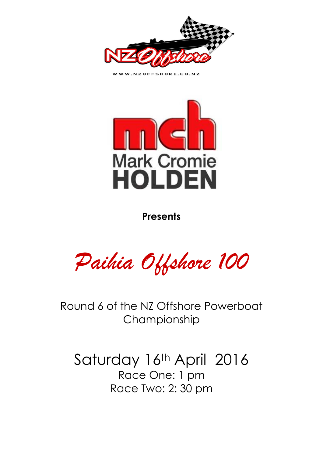

WWW.NZOFFSHORE.CO.NZ



**Presents** 

*Paihia Offshore 100* 

Round 6 of the NZ Offshore Powerboat Championship

Saturday 16th April 2016 Race One: 1 pm Race Two: 2: 30 pm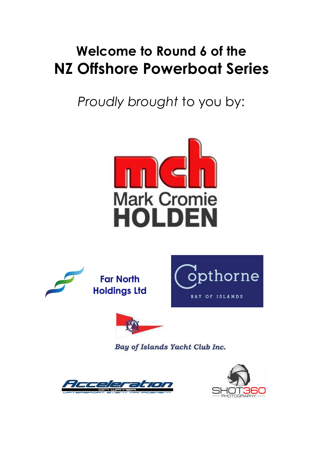# **Welcome to Round 6 of the NZ Offshore Powerboat Series**

*Proudly brought* to you by:









Bay of Islands Yacht Club Inc.



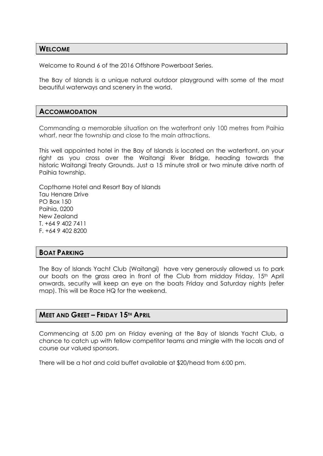#### **WELCOME**

Welcome to Round 6 of the 2016 Offshore Powerboat Series.

The Bay of Islands is a unique natural outdoor playground with some of the most beautiful waterways and scenery in the world.

#### **ACCOMMODATION**

Commanding a memorable situation on the waterfront only 100 metres from Paihia wharf, near the township and close to the main attractions.

This well appointed hotel in the Bay of Islands is located on the waterfront, on your right as you cross over the Waitangi River Bridge, heading towards the historic Waitangi Treaty Grounds. Just a 15 minute stroll or two minute drive north of Paihia township.

Copthorne Hotel and Resort Bay of Islands Tau Henare Drive PO Box 150 Paihia, 0200 New Zealand T. +64 9 402 7411 F. +64 9 402 8200

#### **BOAT PARKING**

The Bay of Islands Yacht Club (Waitangi) have very generously allowed us to park our boats on the grass area in front of the Club from midday Friday, 15<sup>th</sup> April onwards, security will keep an eye on the boats Friday and Saturday nights (refer map). This will be Race HQ for the weekend.

#### **MEET AND GREET – FRIDAY 15TH APRIL**

Commencing at 5.00 pm on Friday evening at the Bay of Islands Yacht Club, a chance to catch up with fellow competitor teams and mingle with the locals and of course our valued sponsors.

There will be a hot and cold buffet available at \$20/head from 6:00 pm.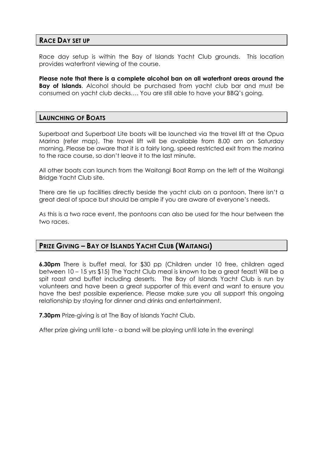#### **RACE DAY SET UP**

Race day setup is within the Bay of Islands Yacht Club grounds. This location provides waterfront viewing of the course.

**Please note that there is a complete alcohol ban on all waterfront areas around the Bay of Islands**. Alcohol should be purchased from yacht club bar and must be consumed on yacht club decks…. You are still able to have your BBQ's going.

#### **LAUNCHING OF BOATS**

Superboat and Superboat Lite boats will be launched via the travel lift at the Opua Marina (refer map). The travel lift will be available from 8.00 am on Saturday morning. Please be aware that it is a fairly long, speed restricted exit from the marina to the race course, so don't leave it to the last minute.

All other boats can launch from the Waitangi Boat Ramp on the left of the Waitangi Bridge Yacht Club site.

There are tie up facilities directly beside the yacht club on a pontoon. There isn't a great deal of space but should be ample if you are aware of everyone's needs.

As this is a two race event, the pontoons can also be used for the hour between the two races.

#### **PRIZE GIVING – BAY OF ISLANDS YACHT CLUB (WAITANGI)**

**6.30pm** There is buffet meal, for \$30 pp (Children under 10 free, children aged between 10 – 15 yrs \$15) The Yacht Club meal is known to be a great feast! Will be a spit roast and buffet including deserts. The Bay of Islands Yacht Club is run by volunteers and have been a great supporter of this event and want to ensure you have the best possible experience. Please make sure you all support this ongoing relationship by staying for dinner and drinks and entertainment.

**7.30pm** Prize-giving is at The Bay of Islands Yacht Club.

After prize giving until late - a band will be playing until late in the evening!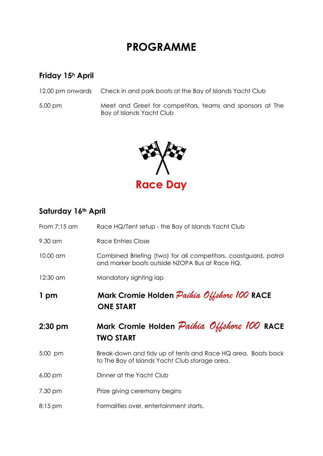### **PROGRAMME**

### **Friday 15h April**

12.00 pm onwards Check in and park boats at the Bay of Islands Yacht Club

5.00 pm Meet and Greet for competitors, teams and sponsors at The Bay of Islands Yacht Club



### **Saturday 16th April**

| From $7:15$ am    | Race HQ/Tent setup - the Bay of Islands Yacht Club                                                                |  |
|-------------------|-------------------------------------------------------------------------------------------------------------------|--|
| 9.30 am           | <b>Race Entries Close</b>                                                                                         |  |
| 10.00 am          | Combined Briefing (two) for all competitors, coastguard, patrol<br>and marker boats outside NZOPA Bus at Race HQ. |  |
| 12:30 am          | Mandatory sighting lap                                                                                            |  |
| 1 pm              | Mark Cromie Holden Paihia Offshore 100 RACE<br><b>ONE START</b>                                                   |  |
|                   |                                                                                                                   |  |
| $2:30$ pm         | Mark Cromie Holden Paihia Offshore 100 RACE<br><b>TWO START</b>                                                   |  |
| 5:00 pm           | Break-down and tidy up of tents and Race HQ area. Boats back<br>to The Bay of Islands Yacht Club storage area.    |  |
| $6.00 \text{ pm}$ | Dinner at the Yacht Club                                                                                          |  |
| 7.30 pm           | Prize giving ceremony begins                                                                                      |  |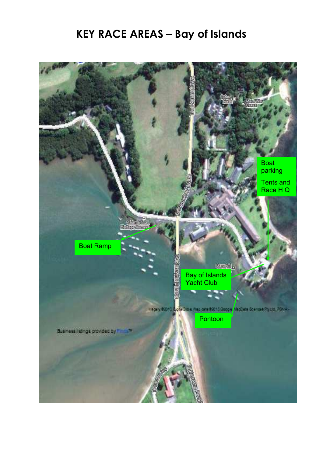## **KEY RACE AREAS – Bay of Islands**

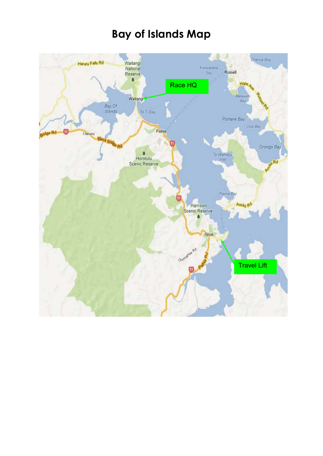### **Bay of Islands Map**